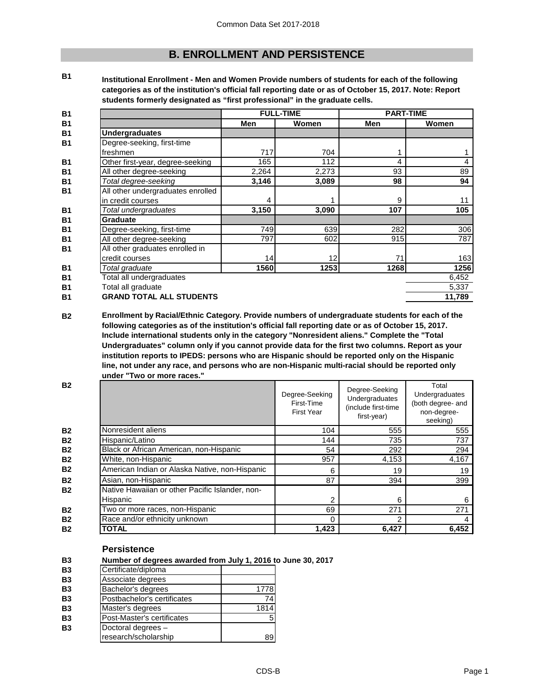# **B. ENROLLMENT AND PERSISTENCE**

**B1**

**Institutional Enrollment - Men and Women Provide numbers of students for each of the following categories as of the institution's official fall reporting date or as of October 15, 2017. Note: Report students formerly designated as "first professional" in the graduate cells.**

| <b>B1</b> |                                   |       | <b>FULL-TIME</b> | <b>PART-TIME</b> |        |
|-----------|-----------------------------------|-------|------------------|------------------|--------|
| <b>B1</b> |                                   | Men   | Women            | Men              | Women  |
| <b>B1</b> | <b>Undergraduates</b>             |       |                  |                  |        |
| <b>B1</b> | Degree-seeking, first-time        |       |                  |                  |        |
|           | freshmen                          | 717   | 704              |                  |        |
| <b>B1</b> | Other first-year, degree-seeking  | 165   | 112              | 4                |        |
| <b>B1</b> | All other degree-seeking          | 2,264 | 2,273            | 93               | 89     |
| <b>B1</b> | Total degree-seeking              | 3,146 | 3,089            | 98               | 94     |
| <b>B1</b> | All other undergraduates enrolled |       |                  |                  |        |
|           | in credit courses                 | 4     |                  | 9                | 11     |
| <b>B1</b> | Total undergraduates              | 3,150 | 3,090            | 107              | 105    |
| <b>B1</b> | <b>Graduate</b>                   |       |                  |                  |        |
| <b>B1</b> | Degree-seeking, first-time        | 749   | 639              | 282              | 306    |
| <b>B1</b> | All other degree-seeking          | 797   | 602              | 915              | 787    |
| <b>B1</b> | All other graduates enrolled in   |       |                  |                  |        |
|           | credit courses                    | 14    | 12               | 71               | 163    |
| <b>B1</b> | Total graduate                    | 1560  | 1253             | 1268             | 1256   |
| <b>B1</b> | Total all undergraduates          |       |                  |                  | 6,452  |
| <b>B1</b> | Total all graduate                |       |                  |                  | 5,337  |
| <b>B1</b> | <b>GRAND TOTAL ALL STUDENTS</b>   |       |                  |                  | 11,789 |

**B2 Enrollment by Racial/Ethnic Category. Provide numbers of undergraduate students for each of the following categories as of the institution's official fall reporting date or as of October 15, 2017. Include international students only in the category "Nonresident aliens." Complete the "Total Undergraduates" column only if you cannot provide data for the first two columns. Report as your institution reports to IPEDS: persons who are Hispanic should be reported only on the Hispanic line, not under any race, and persons who are non-Hispanic multi-racial should be reported only under "Two or more races."** 

|                                                 | Degree-Seeking<br>First-Time<br><b>First Year</b> | Degree-Seeking<br>Undergraduates<br>(include first-time<br>first-year) | Total<br>Undergraduates<br>(both degree- and<br>non-degree-<br>seeking) |
|-------------------------------------------------|---------------------------------------------------|------------------------------------------------------------------------|-------------------------------------------------------------------------|
| Nonresident aliens                              | 104                                               | 555                                                                    | 555                                                                     |
| Hispanic/Latino                                 | 144                                               | 735                                                                    | 737                                                                     |
| Black or African American, non-Hispanic         | 54                                                | 292                                                                    | 294                                                                     |
| White, non-Hispanic                             | 957                                               | 4,153                                                                  | 4,167                                                                   |
| American Indian or Alaska Native, non-Hispanic  | 6                                                 | 19                                                                     | 19                                                                      |
| Asian, non-Hispanic                             | 87                                                | 394                                                                    | 399                                                                     |
| Native Hawaiian or other Pacific Islander, non- |                                                   |                                                                        |                                                                         |
| Hispanic                                        | 2                                                 | 6                                                                      | 6                                                                       |
| Two or more races, non-Hispanic                 | 69                                                | 271                                                                    | 271                                                                     |
| Race and/or ethnicity unknown                   | 0                                                 | 2                                                                      |                                                                         |
| TOTAL                                           | 1,423                                             | 6,427                                                                  | 6,452                                                                   |

### **Persistence**

**B3 Number of degrees awarded from July 1, 2016 to June 30, 2017**

| <b>B3</b> | Certificate/diploma         |      |
|-----------|-----------------------------|------|
| <b>B3</b> | Associate degrees           |      |
| <b>B3</b> | Bachelor's degrees          | 1778 |
| <b>B3</b> | Postbachelor's certificates | 74   |
| <b>B3</b> | Master's degrees            | 1814 |
| <b>B3</b> | Post-Master's certificates  | 5    |
| <b>B3</b> | Doctoral degrees -          |      |
|           | research/scholarship        | 89   |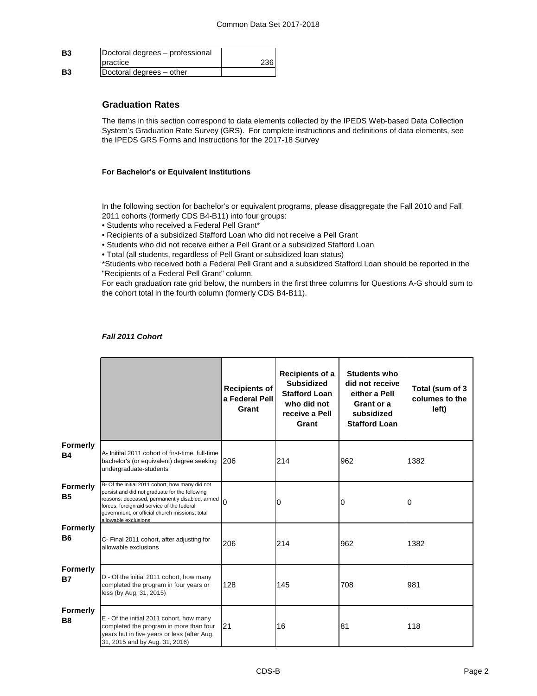| <b>B3</b> | Doctoral degrees - professional |     |
|-----------|---------------------------------|-----|
|           | <b>I</b> practice               | 236 |
| <b>B3</b> | Doctoral degrees - other        |     |

## **Graduation Rates**

The items in this section correspond to data elements collected by the IPEDS Web-based Data Collection System's Graduation Rate Survey (GRS). For complete instructions and definitions of data elements, see the IPEDS GRS Forms and Instructions for the 2017-18 Survey

### **For Bachelor's or Equivalent Institutions**

In the following section for bachelor's or equivalent programs, please disaggregate the Fall 2010 and Fall 2011 cohorts (formerly CDS B4-B11) into four groups:

- Students who received a Federal Pell Grant\*
- Recipients of a subsidized Stafford Loan who did not receive a Pell Grant
- Students who did not receive either a Pell Grant or a subsidized Stafford Loan
- Total (all students, regardless of Pell Grant or subsidized loan status)

\*Students who received both a Federal Pell Grant and a subsidized Stafford Loan should be reported in the "Recipients of a Federal Pell Grant" column.

For each graduation rate grid below, the numbers in the first three columns for Questions A-G should sum to the cohort total in the fourth column (formerly CDS B4-B11).

| <b>Fall 2011 Cohort</b> |  |
|-------------------------|--|
|-------------------------|--|

|                              |                                                                                                                                                                                                                                                                             | <b>Recipients of</b><br>a Federal Pell<br>Grant | Recipients of a<br><b>Subsidized</b><br><b>Stafford Loan</b><br>who did not<br>receive a Pell<br>Grant | <b>Students who</b><br>did not receive<br>either a Pell<br>Grant or a<br>subsidized<br><b>Stafford Loan</b> | Total (sum of 3<br>columes to the<br>left) |
|------------------------------|-----------------------------------------------------------------------------------------------------------------------------------------------------------------------------------------------------------------------------------------------------------------------------|-------------------------------------------------|--------------------------------------------------------------------------------------------------------|-------------------------------------------------------------------------------------------------------------|--------------------------------------------|
| Formerly<br><b>B4</b>        | A- Initital 2011 cohort of first-time, full-time<br>bachelor's (or equivalent) degree seeking<br>undergraduate-students                                                                                                                                                     | 206                                             | 214                                                                                                    | 962                                                                                                         | 1382                                       |
| <b>Formerly</b><br><b>B5</b> | B- Of the initial 2011 cohort, how many did not<br>persist and did not graduate for the following<br>reasons: deceased, permanently disabled, armed<br>forces, foreign aid service of the federal<br>government, or official church missions; total<br>allowable exclusions | $\Omega$                                        | 0                                                                                                      | 0                                                                                                           | 0                                          |
| <b>Formerly</b><br><b>B6</b> | C- Final 2011 cohort, after adjusting for<br>allowable exclusions                                                                                                                                                                                                           | 206                                             | 214                                                                                                    | 962                                                                                                         | 1382                                       |
| <b>Formerly</b><br><b>B7</b> | D - Of the initial 2011 cohort, how many<br>completed the program in four years or<br>less (by Aug. 31, 2015)                                                                                                                                                               | 128                                             | 145                                                                                                    | 708                                                                                                         | 981                                        |
| <b>Formerly</b><br><b>B8</b> | E - Of the initial 2011 cohort, how many<br>completed the program in more than four<br>years but in five years or less (after Aug.<br>31, 2015 and by Aug. 31, 2016)                                                                                                        | 21                                              | 16                                                                                                     | 81                                                                                                          | 118                                        |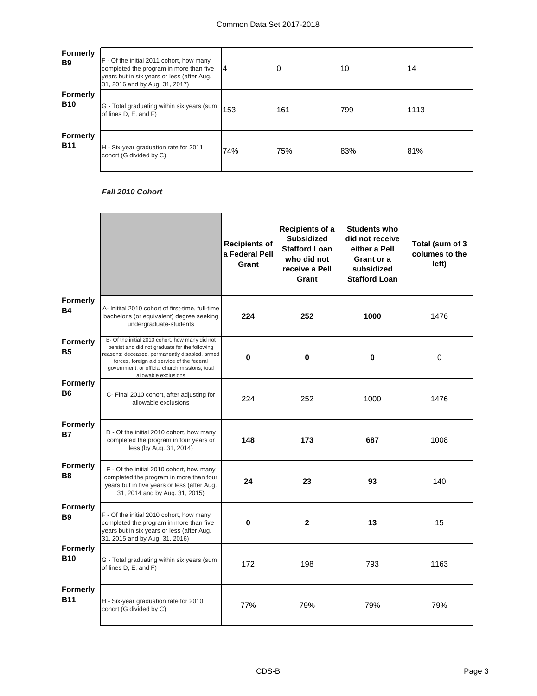| <b>Formerly</b><br><b>B</b> 9 | F - Of the initial 2011 cohort, how many<br>completed the program in more than five<br>years but in six years or less (after Aug.<br>31, 2016 and by Aug. 31, 2017) | 14  |     | 10  | 14   |
|-------------------------------|---------------------------------------------------------------------------------------------------------------------------------------------------------------------|-----|-----|-----|------|
| <b>Formerly</b><br><b>B10</b> | G - Total graduating within six years (sum<br>of lines D, E, and F)                                                                                                 | 153 | 161 | 799 | 1113 |
| <b>Formerly</b><br><b>B11</b> | H - Six-year graduation rate for 2011<br>cohort (G divided by C)                                                                                                    | 74% | 75% | 83% | 81%  |

# *Fall 2010 Cohort*

|                                   |                                                                                                                                                                                                                                                                             | Recipients of<br>a Federal Pell<br>Grant | <b>Recipients of a</b><br><b>Subsidized</b><br><b>Stafford Loan</b><br>who did not<br>receive a Pell<br>Grant | <b>Students who</b><br>did not receive<br>either a Pell<br>Grant or a<br>subsidized<br><b>Stafford Loan</b> | Total (sum of 3<br>columes to the<br>left) |
|-----------------------------------|-----------------------------------------------------------------------------------------------------------------------------------------------------------------------------------------------------------------------------------------------------------------------------|------------------------------------------|---------------------------------------------------------------------------------------------------------------|-------------------------------------------------------------------------------------------------------------|--------------------------------------------|
| <b>Formerly</b><br><b>B4</b>      | A- Initital 2010 cohort of first-time, full-time<br>bachelor's (or equivalent) degree seeking<br>undergraduate-students                                                                                                                                                     | 224                                      | 252                                                                                                           | 1000                                                                                                        | 1476                                       |
| Formerly<br><b>B5</b>             | B- Of the initial 2010 cohort, how many did not<br>persist and did not graduate for the following<br>reasons: deceased, permanently disabled, armed<br>forces, foreign aid service of the federal<br>government, or official church missions; total<br>allowable exclusions | $\bf{0}$                                 | $\pmb{0}$                                                                                                     | $\bf{0}$                                                                                                    | $\boldsymbol{0}$                           |
| <b>Formerly</b><br><b>B6</b>      | C- Final 2010 cohort, after adjusting for<br>allowable exclusions                                                                                                                                                                                                           | 224                                      | 252                                                                                                           | 1000                                                                                                        | 1476                                       |
| <b>Formerly</b><br><b>B7</b>      | D - Of the initial 2010 cohort, how many<br>completed the program in four years or<br>less (by Aug. 31, 2014)                                                                                                                                                               | 148                                      | 173                                                                                                           | 687                                                                                                         | 1008                                       |
| <b>Formerly</b><br>B <sub>8</sub> | E - Of the initial 2010 cohort, how many<br>completed the program in more than four<br>years but in five years or less (after Aug.<br>31, 2014 and by Aug. 31, 2015)                                                                                                        | 24                                       | 23                                                                                                            | 93                                                                                                          | 140                                        |
| <b>Formerly</b><br><b>B9</b>      | F - Of the initial 2010 cohort, how many<br>completed the program in more than five<br>years but in six years or less (after Aug.<br>31, 2015 and by Aug. 31, 2016)                                                                                                         | 0                                        | $\mathbf{2}$                                                                                                  | 13                                                                                                          | 15                                         |
| <b>Formerly</b><br><b>B10</b>     | G - Total graduating within six years (sum<br>of lines D, E, and F)                                                                                                                                                                                                         | 172                                      | 198                                                                                                           | 793                                                                                                         | 1163                                       |
| Formerly<br><b>B11</b>            | H - Six-year graduation rate for 2010<br>cohort (G divided by C)                                                                                                                                                                                                            | 77%                                      | 79%                                                                                                           | 79%                                                                                                         | 79%                                        |